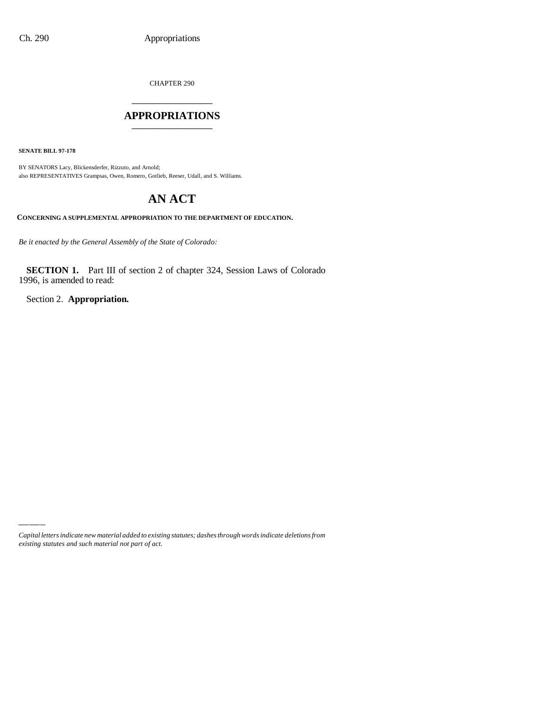CHAPTER 290

## \_\_\_\_\_\_\_\_\_\_\_\_\_\_\_ **APPROPRIATIONS** \_\_\_\_\_\_\_\_\_\_\_\_\_\_\_

**SENATE BILL 97-178**

BY SENATORS Lacy, Blickensderfer, Rizzuto, and Arnold; also REPRESENTATIVES Grampsas, Owen, Romero, Gotlieb, Reeser, Udall, and S. Williams.

# **AN ACT**

**CONCERNING A SUPPLEMENTAL APPROPRIATION TO THE DEPARTMENT OF EDUCATION.**

*Be it enacted by the General Assembly of the State of Colorado:*

**SECTION 1.** Part III of section 2 of chapter 324, Session Laws of Colorado 1996, is amended to read:

Section 2. **Appropriation.**

*Capital letters indicate new material added to existing statutes; dashes through words indicate deletions from existing statutes and such material not part of act.*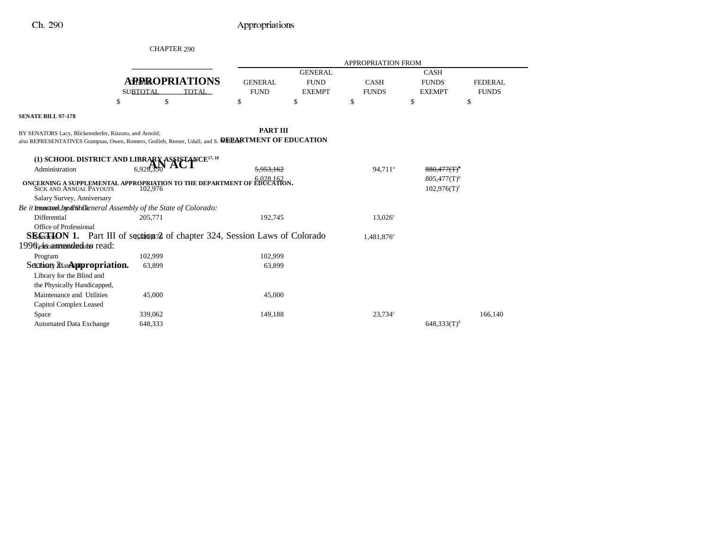|                                                                       | <b>CHAPTER 290</b>                                                                                              |                               |                              |                             |                                                        |                                |
|-----------------------------------------------------------------------|-----------------------------------------------------------------------------------------------------------------|-------------------------------|------------------------------|-----------------------------|--------------------------------------------------------|--------------------------------|
|                                                                       |                                                                                                                 |                               |                              | <b>APPROPRIATION FROM</b>   |                                                        |                                |
|                                                                       |                                                                                                                 |                               | <b>GENERAL</b>               |                             | <b>CASH</b>                                            |                                |
|                                                                       | <b>APPROPRIATIONS</b><br><b>SUBTOTAL</b><br><b>TOTAL</b>                                                        | <b>GENERAL</b><br><b>FUND</b> | <b>FUND</b><br><b>EXEMPT</b> | <b>CASH</b><br><b>FUNDS</b> | <b>FUNDS</b><br><b>EXEMPT</b>                          | <b>FEDERAL</b><br><b>FUNDS</b> |
| \$                                                                    | \$                                                                                                              | \$                            | \$                           | \$                          | \$                                                     | \$                             |
| <b>SENATE BILL 97-178</b>                                             |                                                                                                                 |                               |                              |                             |                                                        |                                |
| BY SENATORS Lacy, Blickensderfer, Rizzuto, and Arnold;                | also REPRESENTATIVES Grampsas, Owen, Romero, Gotlieb, Reeser, Udall, and S. WERARTMENT OF EDUCATION             | <b>PART III</b>               |                              |                             |                                                        |                                |
|                                                                       |                                                                                                                 |                               |                              |                             |                                                        |                                |
|                                                                       | (1) SCHOOL DISTRICT AND LIBRARY ASSISTANCE <sup>17, 18</sup>                                                    |                               |                              |                             |                                                        |                                |
| Administration                                                        | 6,928.350                                                                                                       | 5.953.162                     |                              | 94.711 <sup>a</sup>         | $880.477$ $(T)^t$                                      |                                |
|                                                                       | <b>ONCERNING A SUPPLEMENTAL APPROPRIATION TO THE DEPARTMENT OF EDUCATION.</b> SICK AND ANNUAL PAYOUTS $102,976$ |                               |                              |                             | $805,477(T)$ <sup>b</sup><br>$102,976(T)$ <sup>f</sup> |                                |
| Salary Survey, Anniversary                                            |                                                                                                                 |                               |                              |                             |                                                        |                                |
| Be it knowertsed, hand/ahftleneral Assembly of the State of Colorado: |                                                                                                                 |                               |                              |                             |                                                        |                                |
| Differential                                                          | 205,771                                                                                                         | 192,745                       |                              | $13.026^{\circ}$            |                                                        |                                |
| Office of Professional                                                |                                                                                                                 |                               |                              |                             |                                                        |                                |
|                                                                       | <b>SEGRION 1.</b> Part III of sections 2 of chapter 324, Session Laws of Colorado                               |                               |                              | 1,481,876 <sup>c</sup>      |                                                        |                                |
| 1996 els annendadoto read:                                            |                                                                                                                 |                               |                              |                             |                                                        |                                |
| Program                                                               | 102,999                                                                                                         | 102,999                       |                              |                             |                                                        |                                |
| Section Materippropriation.                                           | 63,899                                                                                                          | 63,899                        |                              |                             |                                                        |                                |
| Library for the Blind and                                             |                                                                                                                 |                               |                              |                             |                                                        |                                |
| the Physically Handicapped,                                           |                                                                                                                 |                               |                              |                             |                                                        |                                |
| Maintenance and Utilities                                             | 45,000                                                                                                          | 45,000                        |                              |                             |                                                        |                                |
| Capitol Complex Leased                                                |                                                                                                                 |                               |                              |                             |                                                        |                                |
| Space                                                                 | 339,062                                                                                                         | 149,188                       |                              | 23,734c                     |                                                        | 166,140                        |
| <b>Automated Data Exchange</b>                                        | 648,333                                                                                                         |                               |                              |                             | $648,333(T)^d$                                         |                                |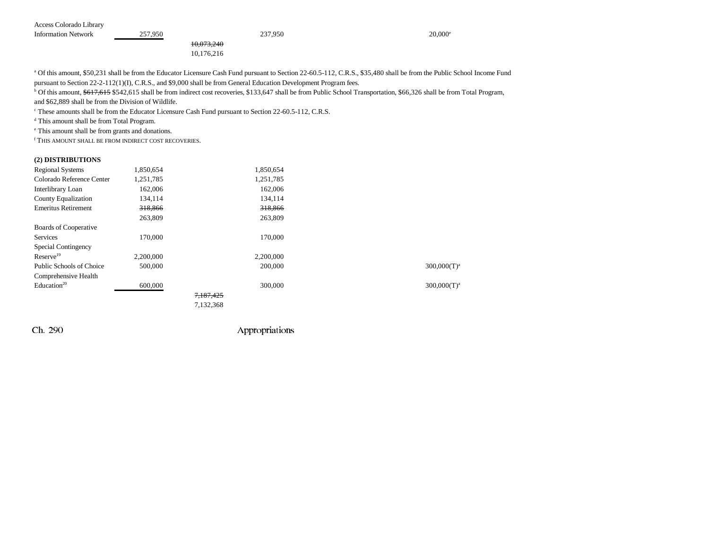| Access Colorado Library    |         |            |         |                  |
|----------------------------|---------|------------|---------|------------------|
| <b>Information Network</b> | 257,950 |            | 237,950 | $20,000^{\circ}$ |
|                            |         | 10,073,240 |         |                  |
|                            |         | 10.176.216 |         |                  |

<sup>a</sup> Of this amount, \$50,231 shall be from the Educator Licensure Cash Fund pursuant to Section 22-60.5-112, C.R.S., \$35,480 shall be from the Public School Income Fund

pursuant to Section 22-2-112(1)(I), C.R.S., and \$9,000 shall be from General Education Development Program fees.

<sup>b</sup> Of this amount, \$617,615 \$542,615 shall be from indirect cost recoveries, \$133,647 shall be from Public School Transportation, \$66,326 shall be from Total Program,

and \$62,889 shall be from the Division of Wildlife.

<sup>c</sup> These amounts shall be from the Educator Licensure Cash Fund pursuant to Section 22-60.5-112, C.R.S.

d This amount shall be from Total Program.

e This amount shall be from grants and donations.

f THIS AMOUNT SHALL BE FROM INDIRECT COST RECOVERIES.

#### **(2) DISTRIBUTIONS**

| <b>Regional Systems</b>    | 1,850,654 | 1,850,654 |                |
|----------------------------|-----------|-----------|----------------|
| Colorado Reference Center  | 1,251,785 | 1,251,785 |                |
| Interlibrary Loan          | 162,006   | 162,006   |                |
| <b>County Equalization</b> | 134,114   | 134,114   |                |
| <b>Emeritus Retirement</b> | 318,866   | 318,866   |                |
|                            | 263,809   | 263,809   |                |
| Boards of Cooperative      |           |           |                |
| <b>Services</b>            | 170,000   | 170,000   |                |
| Special Contingency        |           |           |                |
| Reserve <sup>19</sup>      | 2.200,000 | 2.200.000 |                |
| Public Schools of Choice   | 500,000   | 200,000   | $300,000(T)^3$ |
| Comprehensive Health       |           |           |                |
| Education <sup>20</sup>    | 600,000   | 300,000   | $300,000(T)^3$ |
|                            |           | 7,187,425 |                |
|                            |           | 7,132,368 |                |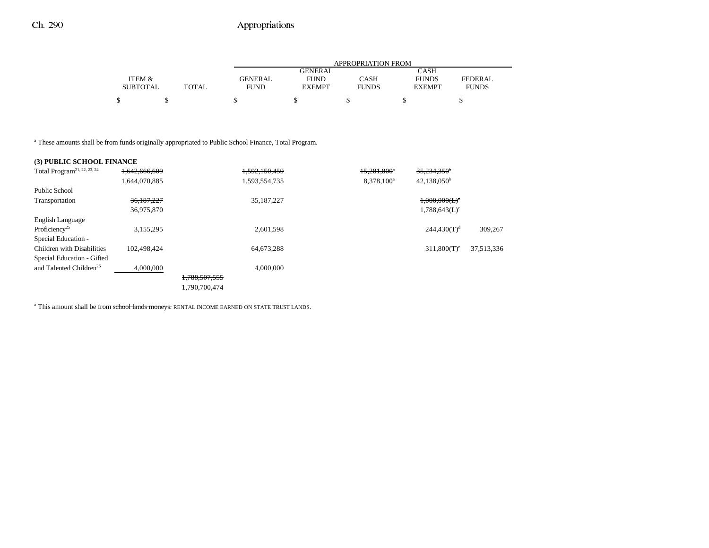|                 |              |                | APPROPRIATION FROM |              |               |              |  |  |  |
|-----------------|--------------|----------------|--------------------|--------------|---------------|--------------|--|--|--|
|                 |              |                | GENERAL            |              | CASH          |              |  |  |  |
| ITEM &          |              | <b>GENERAL</b> | <b>FUND</b>        | <b>CASH</b>  | <b>FUNDS</b>  | FEDERAL      |  |  |  |
| <b>SUBTOTAL</b> | <b>TOTAL</b> | <b>FUND</b>    | <b>EXEMPT</b>      | <b>FUNDS</b> | <b>EXEMPT</b> | <b>FUNDS</b> |  |  |  |
|                 |              |                |                    |              |               |              |  |  |  |
|                 |              |                |                    |              |               |              |  |  |  |

<sup>a</sup> These amounts shall be from funds originally appropriated to Public School Finance, Total Program.

### **(3) PUBLIC SCHOOL FINANCE**

| Total Program <sup>21, 22, 23, 24</sup> | 1,642,666,609 |               | 1,592,150,459 | 15,281,800*            | $35,234,350$ <sup>b</sup>    |            |
|-----------------------------------------|---------------|---------------|---------------|------------------------|------------------------------|------------|
|                                         | 1,644,070,885 |               | 1,593,554,735 | 8.378.100 <sup>a</sup> | $42,138,050^{\rm b}$         |            |
| Public School                           |               |               |               |                        |                              |            |
| Transportation                          | 36,187,227    |               | 35, 187, 227  |                        | $1,000,000$ (L) <sup>c</sup> |            |
|                                         | 36,975,870    |               |               |                        | $1,788,643(L)$ <sup>c</sup>  |            |
| English Language                        |               |               |               |                        |                              |            |
| Proficiency <sup>25</sup>               | 3,155,295     |               | 2,601,598     |                        | $244.430(T)^d$               | 309,267    |
| Special Education -                     |               |               |               |                        |                              |            |
| <b>Children with Disabilities</b>       | 102.498.424   |               | 64,673,288    |                        | $311,800(T)$ <sup>e</sup>    | 37,513,336 |
| Special Education - Gifted              |               |               |               |                        |                              |            |
| and Talented Children <sup>26</sup>     | 4,000,000     |               | 4,000,000     |                        |                              |            |
|                                         |               | 1,788,507,555 |               |                        |                              |            |
|                                         |               | 1.790.700.474 |               |                        |                              |            |

<sup>a</sup> This amount shall be from school lands moneys. RENTAL INCOME EARNED ON STATE TRUST LANDS.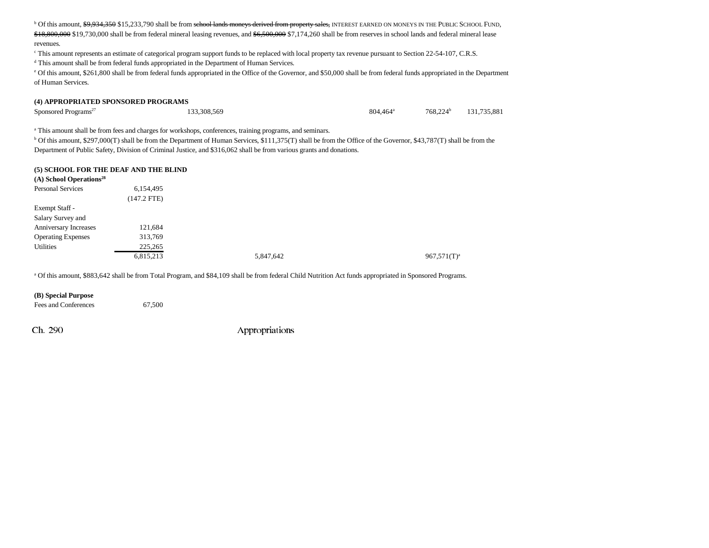<sup>b</sup> Of this amount, \$9,934,350 \$15,233,790 shall be from school lands moneys derived from property sales, INTEREST EARNED ON MONEYS IN THE PUBLIC SCHOOL FUND, \$18,800,000 \$19,730,000 shall be from federal mineral leasing revenues, and \$6,500,000 \$7,174,260 shall be from reserves in school lands and federal mineral lease revenues.

c This amount represents an estimate of categorical program support funds to be replaced with local property tax revenue pursuant to Section 22-54-107, C.R.S.

d This amount shall be from federal funds appropriated in the Department of Human Services.

e Of this amount, \$261,800 shall be from federal funds appropriated in the Office of the Governor, and \$50,000 shall be from federal funds appropriated in the Department of Human Services.

#### **(4) APPROPRIATED SPONSORED PROGRAMS**

Sponsored Programs<sup>27</sup> 131,735,881 133,308,569 131,735,881 133,308,569 131,735,881

<sup>a</sup> This amount shall be from fees and charges for workshops, conferences, training programs, and seminars.

<sup>b</sup> Of this amount, \$297,000(T) shall be from the Department of Human Services, \$111,375(T) shall be from the Office of the Governor, \$43,787(T) shall be from the Department of Public Safety, Division of Criminal Justice, and \$316,062 shall be from various grants and donations.

#### **(5) SCHOOL FOR THE DEAF AND THE BLIND**

| $(A)$ School Operations <sup>28</sup> |             |           |                |
|---------------------------------------|-------------|-----------|----------------|
| <b>Personal Services</b>              | 6,154,495   |           |                |
|                                       | (147.2 FTE) |           |                |
| Exempt Staff -                        |             |           |                |
| Salary Survey and                     |             |           |                |
| Anniversary Increases                 | 121,684     |           |                |
| <b>Operating Expenses</b>             | 313,769     |           |                |
| <b>Utilities</b>                      | 225,265     |           |                |
|                                       | 6,815,213   | 5,847,642 | $967,571(T)^a$ |
|                                       |             |           |                |

a Of this amount, \$883,642 shall be from Total Program, and \$84,109 shall be from federal Child Nutrition Act funds appropriated in Sponsored Programs.

#### **(B) Special Purpose** Fees and Conferences 67,500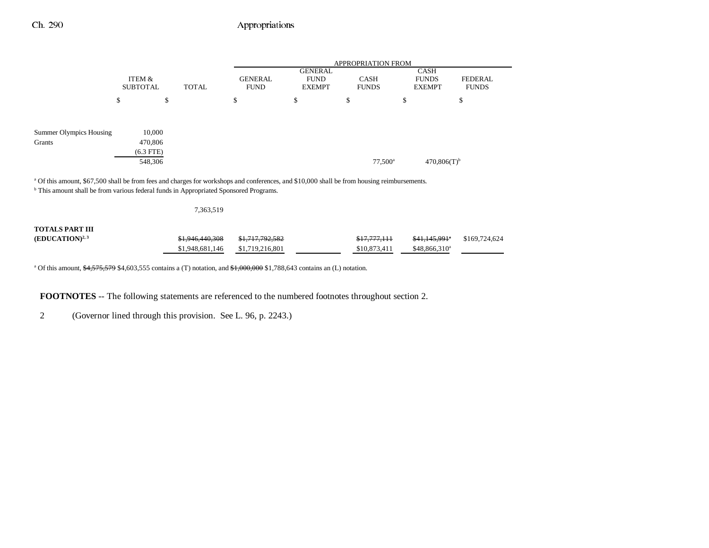|                                                                                                                                                                                                                                                            |                                             |              | <b>APPROPRIATION FROM</b>     |                                                |                             |                                              |                                |  |
|------------------------------------------------------------------------------------------------------------------------------------------------------------------------------------------------------------------------------------------------------------|---------------------------------------------|--------------|-------------------------------|------------------------------------------------|-----------------------------|----------------------------------------------|--------------------------------|--|
|                                                                                                                                                                                                                                                            | ITEM &<br><b>SUBTOTAL</b>                   | <b>TOTAL</b> | <b>GENERAL</b><br><b>FUND</b> | <b>GENERAL</b><br><b>FUND</b><br><b>EXEMPT</b> | <b>CASH</b><br><b>FUNDS</b> | <b>CASH</b><br><b>FUNDS</b><br><b>EXEMPT</b> | <b>FEDERAL</b><br><b>FUNDS</b> |  |
|                                                                                                                                                                                                                                                            | \$                                          | \$           | \$                            | \$                                             | \$                          | \$                                           | \$                             |  |
| Summer Olympics Housing<br>Grants                                                                                                                                                                                                                          | 10,000<br>470,806<br>$(6.3$ FTE)<br>548,306 |              |                               |                                                | $77,500^{\circ}$            | $470,806(T)$ <sup>b</sup>                    |                                |  |
| <sup>a</sup> Of this amount, \$67,500 shall be from fees and charges for workshops and conferences, and \$10,000 shall be from housing reimbursements.<br><sup>b</sup> This amount shall be from various federal funds in Appropriated Sponsored Programs. |                                             |              |                               |                                                |                             |                                              |                                |  |

| <b>TOTALS PART III</b> |                 |                            |                         |                           |               |
|------------------------|-----------------|----------------------------|-------------------------|---------------------------|---------------|
| $(EDUCATION)^{2,3}$    | \$1,946,440,308 | <del>\$1,717,792,582</del> | <del>\$17,777,111</del> | <del>\$41,145.991</del> * | \$169,724,624 |
|                        | \$1,948,681,146 | \$1,719,216,801            | \$10,873,411            | $$48.866.310^a$           |               |

<sup>a</sup> Of this amount,  $\frac{64,575,579}{64,603,555}$  contains a (T) notation, and  $\frac{41,000,000}{64,000}$  \$1,788,643 contains an (L) notation.

7,363,519

**FOOTNOTES** -- The following statements are referenced to the numbered footnotes throughout section 2.

2 (Governor lined through this provision. See L. 96, p. 2243.)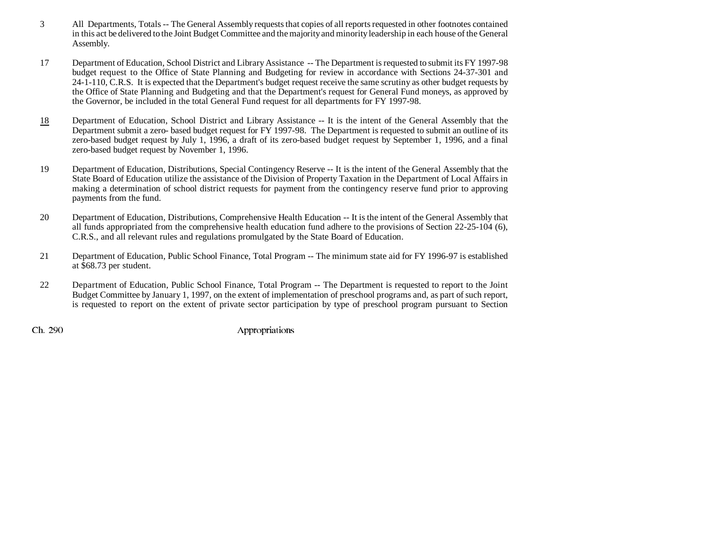- 3 All Departments, Totals -- The General Assembly requests that copies of all reports requested in other footnotes contained in this act be delivered to the Joint Budget Committee and the majority and minority leadership in each house of the General Assembly.
- 17 Department of Education, School District and Library Assistance -- The Department is requested to submit its FY 1997-98 budget request to the Office of State Planning and Budgeting for review in accordance with Sections 24-37-301 and 24-1-110, C.R.S. It is expected that the Department's budget request receive the same scrutiny as other budget requests by the Office of State Planning and Budgeting and that the Department's request for General Fund moneys, as approved by the Governor, be included in the total General Fund request for all departments for FY 1997-98.
- 18 Department of Education, School District and Library Assistance -- It is the intent of the General Assembly that the Department submit a zero- based budget request for FY 1997-98. The Department is requested to submit an outline of its zero-based budget request by July 1, 1996, a draft of its zero-based budget request by September 1, 1996, and a final zero-based budget request by November 1, 1996.
- 19 Department of Education, Distributions, Special Contingency Reserve -- It is the intent of the General Assembly that the State Board of Education utilize the assistance of the Division of Property Taxation in the Department of Local Affairs in making a determination of school district requests for payment from the contingency reserve fund prior to approving payments from the fund.
- 20 Department of Education, Distributions, Comprehensive Health Education -- It is the intent of the General Assembly that all funds appropriated from the comprehensive health education fund adhere to the provisions of Section 22-25-104 (6), C.R.S., and all relevant rules and regulations promulgated by the State Board of Education.
- 21 Department of Education, Public School Finance, Total Program -- The minimum state aid for FY 1996-97 is established at \$68.73 per student.
- 22 Department of Education, Public School Finance, Total Program -- The Department is requested to report to the Joint Budget Committee by January 1, 1997, on the extent of implementation of preschool programs and, as part of such report, is requested to report on the extent of private sector participation by type of preschool program pursuant to Section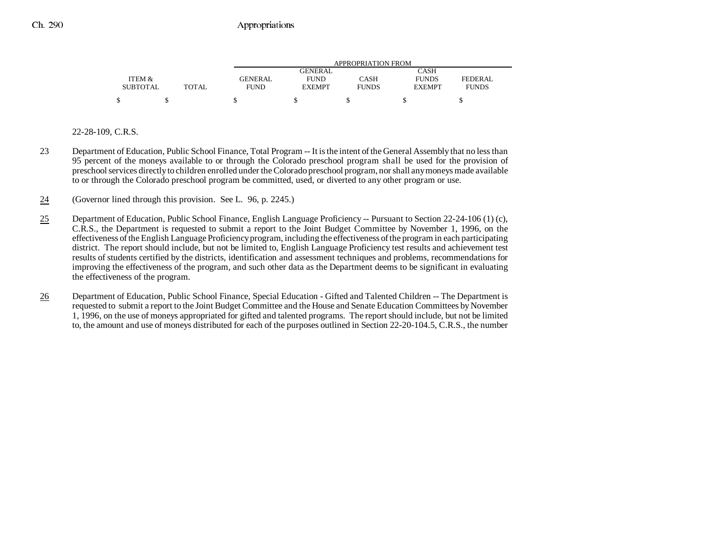|                 |              |                | APPROPRIATION FROM |              |               |                |  |  |  |
|-----------------|--------------|----------------|--------------------|--------------|---------------|----------------|--|--|--|
|                 |              |                | <b>GENERAL</b>     |              | CASH          |                |  |  |  |
| ITEM &          |              | <b>GENERAL</b> | <b>FUND</b>        | CASH         | <b>FUNDS</b>  | <b>FEDERAL</b> |  |  |  |
| <b>SUBTOTAL</b> | <b>TOTAL</b> | FUND           | <b>EXEMPT</b>      | <b>FUNDS</b> | <b>EXEMPT</b> | <b>FUNDS</b>   |  |  |  |
| ¢               |              |                |                    |              |               |                |  |  |  |

### 22-28-109, C.R.S.

- 23 Department of Education, Public School Finance, Total Program -- It is the intent of the General Assembly that no less than 95 percent of the moneys available to or through the Colorado preschool program shall be used for the provision of preschool services directly to children enrolled under the Colorado preschool program, nor shall any moneys made available to or through the Colorado preschool program be committed, used, or diverted to any other program or use.
- 24(Governor lined through this provision. See L. 96, p. 2245.)
- 25 Department of Education, Public School Finance, English Language Proficiency -- Pursuant to Section 22-24-106 (1) (c), C.R.S., the Department is requested to submit a report to the Joint Budget Committee by November 1, 1996, on the effectiveness of the English Language Proficiency program, including the effectiveness of the program in each participating district. The report should include, but not be limited to, English Language Proficiency test results and achievement test results of students certified by the districts, identification and assessment techniques and problems, recommendations for improving the effectiveness of the program, and such other data as the Department deems to be significant in evaluating the effectiveness of the program.
- 26 Department of Education, Public School Finance, Special Education - Gifted and Talented Children -- The Department is requested to submit a report to the Joint Budget Committee and the House and Senate Education Committees by November 1, 1996, on the use of moneys appropriated for gifted and talented programs. The report should include, but not be limited to, the amount and use of moneys distributed for each of the purposes outlined in Section 22-20-104.5, C.R.S., the number